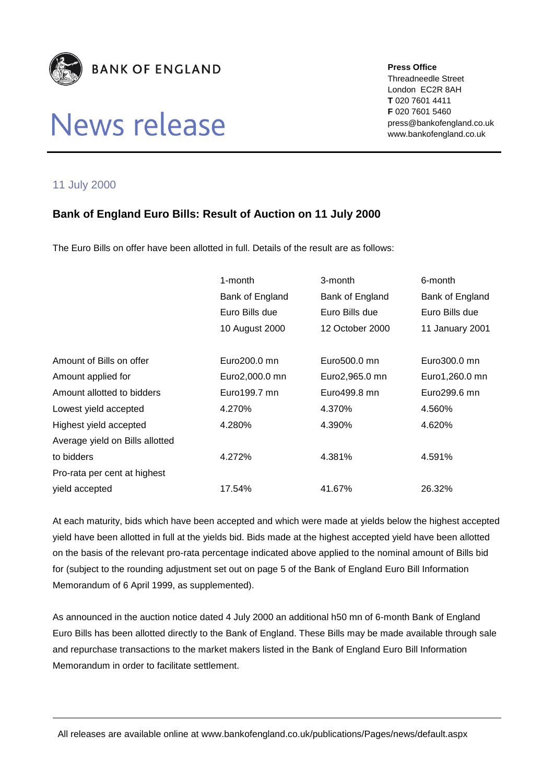

## News release

**Press Office**

Threadneedle Street London EC2R 8AH **T** 020 7601 4411 **F** 020 7601 5460 press@bankofengland.co.uk www.bankofengland.co.uk

## 11 July 2000

## **Bank of England Euro Bills: Result of Auction on 11 July 2000**

The Euro Bills on offer have been allotted in full. Details of the result are as follows:

|                                 | 1-month         | 3-month         | 6-month         |
|---------------------------------|-----------------|-----------------|-----------------|
|                                 | Bank of England | Bank of England | Bank of England |
|                                 | Euro Bills due  | Euro Bills due  | Euro Bills due  |
|                                 | 10 August 2000  | 12 October 2000 | 11 January 2001 |
|                                 |                 |                 |                 |
| Amount of Bills on offer        | Euro200.0 mn    | Euro500.0 mn    | Euro300.0 mn    |
| Amount applied for              | Euro2,000.0 mn  | Euro2,965.0 mn  | Euro1,260.0 mn  |
| Amount allotted to bidders      | Euro199.7 mn    | Euro499.8 mn    | Euro299.6 mn    |
| Lowest yield accepted           | 4.270%          | 4.370%          | 4.560%          |
| Highest yield accepted          | 4.280%          | 4.390%          | 4.620%          |
| Average yield on Bills allotted |                 |                 |                 |
| to bidders                      | 4.272%          | 4.381%          | 4.591%          |
| Pro-rata per cent at highest    |                 |                 |                 |
| yield accepted                  | 17.54%          | 41.67%          | 26.32%          |

At each maturity, bids which have been accepted and which were made at yields below the highest accepted yield have been allotted in full at the yields bid. Bids made at the highest accepted yield have been allotted on the basis of the relevant pro-rata percentage indicated above applied to the nominal amount of Bills bid for (subject to the rounding adjustment set out on page 5 of the Bank of England Euro Bill Information Memorandum of 6 April 1999, as supplemented).

As announced in the auction notice dated 4 July 2000 an additional h50 mn of 6-month Bank of England Euro Bills has been allotted directly to the Bank of England. These Bills may be made available through sale and repurchase transactions to the market makers listed in the Bank of England Euro Bill Information Memorandum in order to facilitate settlement.